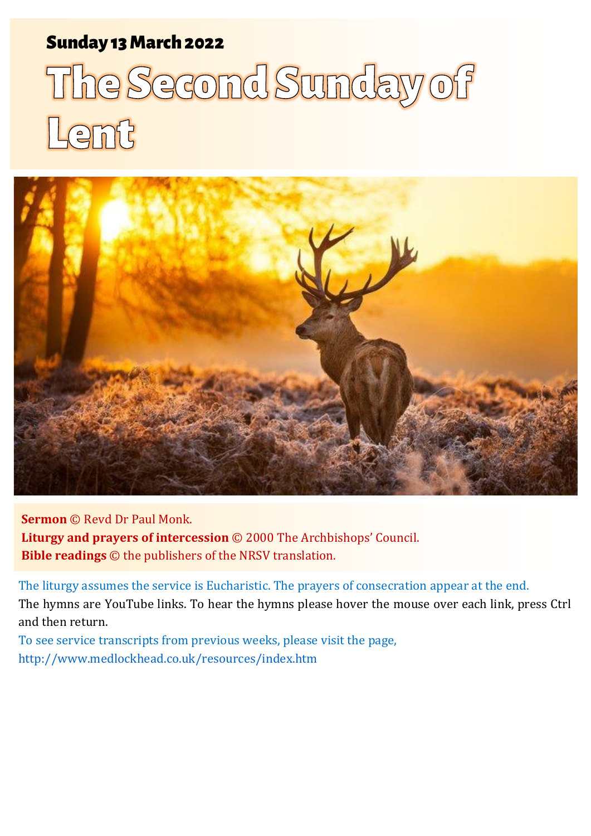### Sunday 13 March 2022 1 The Second Sunday of Lent Sunday 13March 2022

# The Second Sunday of enf



**Sermon** © Revd Dr Paul Monk. **Liturgy and prayers of intercession** © 2000 The Archbishops' Council. **Bible readings** © the publishers of the NRSV translation.

The liturgy assumes the service is Eucharistic. The prayers of consecration appear at the end. The hymns are YouTube links. To hear the hymns please hover the mouse over each link, press Ctrl and then return.

To see service transcripts from previous weeks, please visit the page, <http://www.medlockhead.co.uk/resources/index.htm>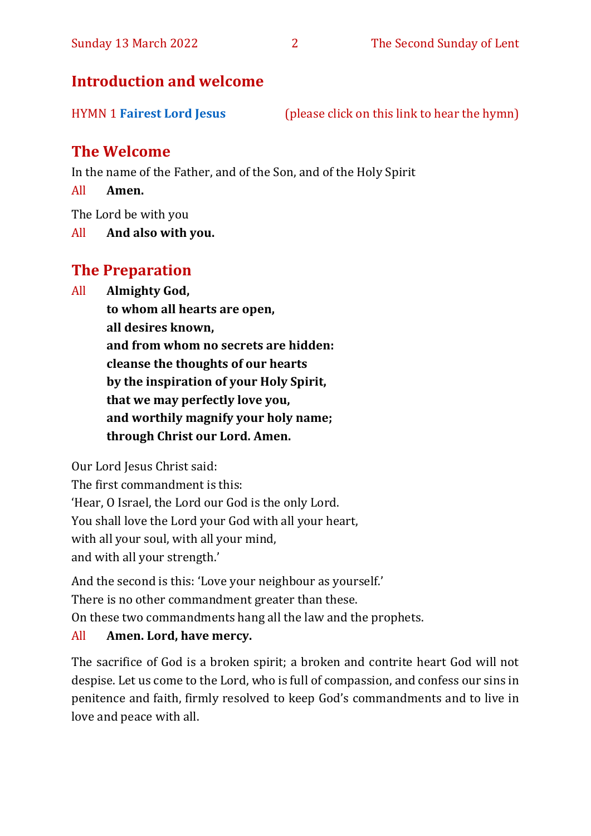#### **Introduction and welcome**

| <b>HYMN 1 Fairest Lord Jesus</b> | (please click on this link to hear the hymn) |  |
|----------------------------------|----------------------------------------------|--|
|----------------------------------|----------------------------------------------|--|

#### **The Welcome**

In the name of the Father, and of the Son, and of the Holy Spirit

All **Amen.**

The Lord be with you

All **And also with you.**

#### **The Preparation**

All **Almighty God,**

**to whom all hearts are open, all desires known, and from whom no secrets are hidden: cleanse the thoughts of our hearts by the inspiration of your Holy Spirit, that we may perfectly love you, and worthily magnify your holy name; through Christ our Lord. Amen.**

Our Lord Jesus Christ said:

The first commandment is this: 'Hear, O Israel, the Lord our God is the only Lord. You shall love the Lord your God with all your heart, with all your soul, with all your mind, and with all your strength.'

And the second is this: 'Love your neighbour as yourself.' There is no other commandment greater than these.

On these two commandments hang all the law and the prophets.

#### All **Amen. Lord, have mercy.**

The sacrifice of God is a broken spirit; a broken and contrite heart God will not despise. Let us come to the Lord, who is full of compassion, and confess our sins in penitence and faith, firmly resolved to keep God's commandments and to live in love and peace with all.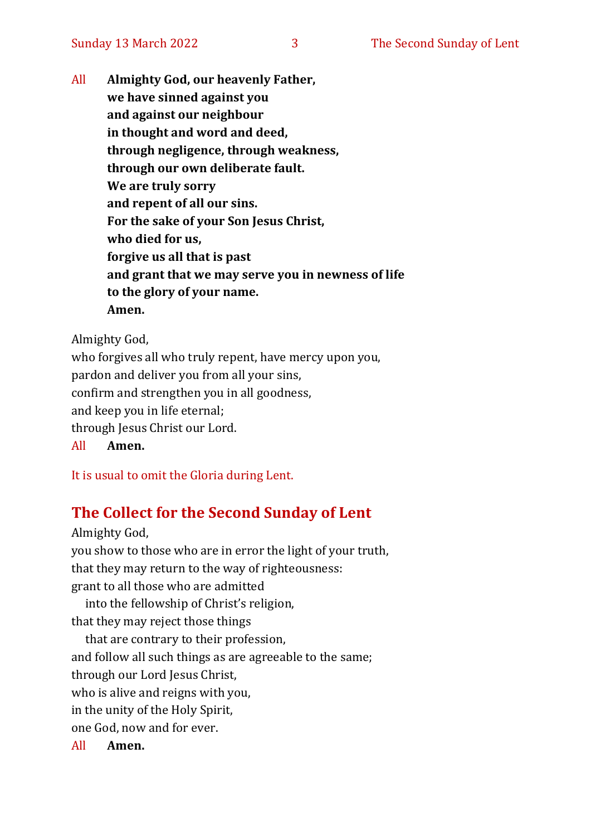All **Almighty God, our heavenly Father, we have sinned against you and against our neighbour in thought and word and deed, through negligence, through weakness, through our own deliberate fault. We are truly sorry and repent of all our sins. For the sake of your Son Jesus Christ, who died for us, forgive us all that is past and grant that we may serve you in newness of life to the glory of your name. Amen.**

Almighty God,

who forgives all who truly repent, have mercy upon you, pardon and deliver you from all your sins, confirm and strengthen you in all goodness, and keep you in life eternal; through Jesus Christ our Lord.

All **Amen.**

It is usual to omit the Gloria during Lent.

#### **The Collect for the Second Sunday of Lent**

Almighty God, you show to those who are in error the light of your truth, that they may return to the way of righteousness: grant to all those who are admitted

into the fellowship of Christ's religion, that they may reject those things

that are contrary to their profession, and follow all such things as are agreeable to the same; through our Lord Jesus Christ, who is alive and reigns with you, in the unity of the Holy Spirit, one God, now and for ever.

All **Amen.**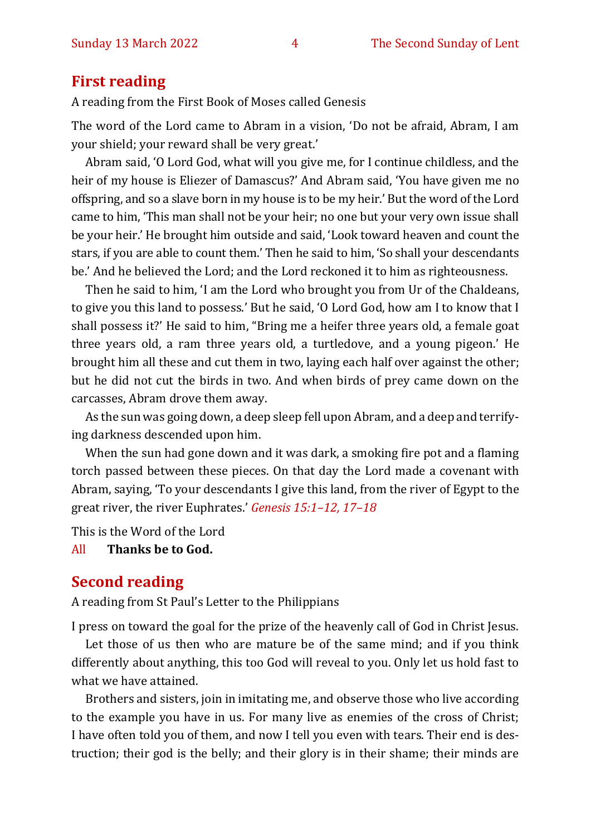#### **First reading**

A reading from the First Book of Moses called Genesis

The word of the Lord came to Abram in a vision, 'Do not be afraid, Abram, I am your shield; your reward shall be very great.'

Abram said, 'O Lord God, what will you give me, for I continue childless, and the heir of my house is Eliezer of Damascus?' And Abram said, 'You have given me no offspring, and so a slave born in my house is to be my heir.' But the word of the Lord came to him, 'This man shall not be your heir; no one but your very own issue shall be your heir.' He brought him outside and said, 'Look toward heaven and count the stars, if you are able to count them.' Then he said to him, 'So shall your descendants be.' And he believed the Lord; and the Lord reckoned it to him as righteousness.

Then he said to him, 'I am the Lord who brought you from Ur of the Chaldeans, to give you this land to possess.' But he said, 'O Lord God, how am I to know that I shall possess it?' He said to him, "Bring me a heifer three years old, a female goat three years old, a ram three years old, a turtledove, and a young pigeon.' He brought him all these and cut them in two, laying each half over against the other; but he did not cut the birds in two. And when birds of prey came down on the carcasses, Abram drove them away.

As the sun was going down, a deep sleep fell upon Abram, and a deep and terrifying darkness descended upon him.

When the sun had gone down and it was dark, a smoking fire pot and a flaming torch passed between these pieces. On that day the Lord made a covenant with Abram, saying, 'To your descendants I give this land, from the river of Egypt to the great river, the river Euphrates.' *Genesis 15:1–12, 17–18*

This is the Word of the Lord

All **Thanks be to God.**

#### **Second reading**

A reading from St Paul's Letter to the Philippians

I press on toward the goal for the prize of the heavenly call of God in Christ Jesus.

Let those of us then who are mature be of the same mind; and if you think differently about anything, this too God will reveal to you. Only let us hold fast to what we have attained.

Brothers and sisters, join in imitating me, and observe those who live according to the example you have in us. For many live as enemies of the cross of Christ; I have often told you of them, and now I tell you even with tears. Their end is destruction; their god is the belly; and their glory is in their shame; their minds are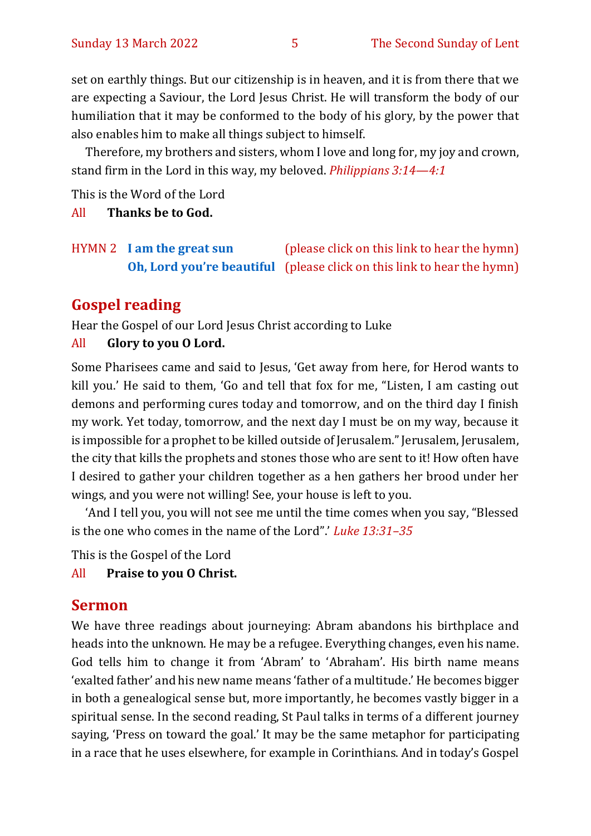set on earthly things. But our citizenship is in heaven, and it is from there that we are expecting a Saviour, the Lord Jesus Christ. He will transform the body of our humiliation that it may be conformed to the body of his glory, by the power that also enables him to make all things subject to himself.

Therefore, my brothers and sisters, whom I love and long for, my joy and crown, stand firm in the Lord in this way, my beloved. *Philippians 3:14—4:1*

This is the Word of the Lord

All **Thanks be to God.**

HYMN 2 **[I am the great sun](https://www.youtube.com/watch?v=O4hgoAJ5ZEI&list=PLVDBkMOidZU1Iq6T49ud1pPoqrXOen7_1&index=7)** (please click on this link to hear the hymn) **[Oh, Lord you're beautiful](https://www.youtube.com/watch?v=tqEa1Uo9UZc)** (please click on this link to hear the hymn)

#### **Gospel reading**

Hear the Gospel of our Lord Jesus Christ according to Luke

#### All **Glory to you O Lord.**

Some Pharisees came and said to Jesus, 'Get away from here, for Herod wants to kill you.' He said to them, 'Go and tell that fox for me, "Listen, I am casting out demons and performing cures today and tomorrow, and on the third day I finish my work. Yet today, tomorrow, and the next day I must be on my way, because it is impossible for a prophet to be killed outside of Jerusalem." Jerusalem, Jerusalem, the city that kills the prophets and stones those who are sent to it! How often have I desired to gather your children together as a hen gathers her brood under her wings, and you were not willing! See, your house is left to you.

'And I tell you, you will not see me until the time comes when you say, "Blessed is the one who comes in the name of the Lord".' *Luke 13:31–35*

This is the Gospel of the Lord

All **Praise to you O Christ.** 

#### **Sermon**

We have three readings about journeying: Abram abandons his birthplace and heads into the unknown. He may be a refugee. Everything changes, even his name. God tells him to change it from 'Abram' to 'Abraham'. His birth name means 'exalted father' and his new name means 'father of a multitude.' He becomes bigger in both a genealogical sense but, more importantly, he becomes vastly bigger in a spiritual sense. In the second reading, St Paul talks in terms of a different journey saying, 'Press on toward the goal.' It may be the same metaphor for participating in a race that he uses elsewhere, for example in Corinthians. And in today's Gospel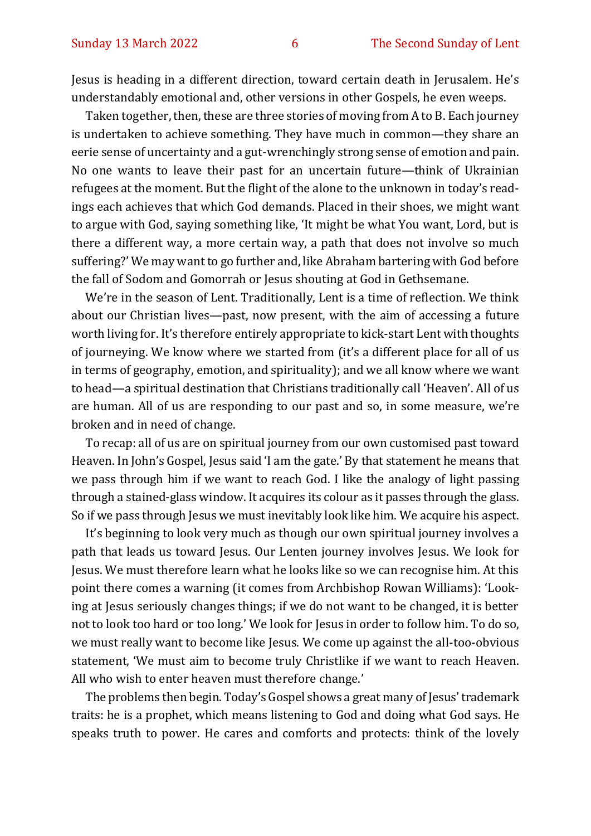Jesus is heading in a different direction, toward certain death in Jerusalem. He's understandably emotional and, other versions in other Gospels, he even weeps.

Taken together, then, these are three stories of moving from A to B. Each journey is undertaken to achieve something. They have much in common—they share an eerie sense of uncertainty and a gut-wrenchingly strong sense of emotion and pain. No one wants to leave their past for an uncertain future—think of Ukrainian refugees at the moment. But the flight of the alone to the unknown in today's readings each achieves that which God demands. Placed in their shoes, we might want to argue with God, saying something like, 'It might be what You want, Lord, but is there a different way, a more certain way, a path that does not involve so much suffering?' We may want to go further and, like Abraham bartering with God before the fall of Sodom and Gomorrah or Jesus shouting at God in Gethsemane.

We're in the season of Lent. Traditionally, Lent is a time of reflection. We think about our Christian lives—past, now present, with the aim of accessing a future worth living for. It's therefore entirely appropriate to kick-start Lent with thoughts of journeying. We know where we started from (it's a different place for all of us in terms of geography, emotion, and spirituality); and we all know where we want to head—a spiritual destination that Christians traditionally call 'Heaven'. All of us are human. All of us are responding to our past and so, in some measure, we're broken and in need of change.

To recap: all of us are on spiritual journey from our own customised past toward Heaven. In John's Gospel, Jesus said 'I am the gate.' By that statement he means that we pass through him if we want to reach God. I like the analogy of light passing through a stained-glass window. It acquires its colour as it passes through the glass. So if we pass through Jesus we must inevitably look like him. We acquire his aspect.

It's beginning to look very much as though our own spiritual journey involves a path that leads us toward Jesus. Our Lenten journey involves Jesus. We look for Jesus. We must therefore learn what he looks like so we can recognise him. At this point there comes a warning (it comes from Archbishop Rowan Williams): 'Looking at Jesus seriously changes things; if we do not want to be changed, it is better not to look too hard or too long.' We look for Jesus in order to follow him. To do so, we must really want to become like Jesus. We come up against the all-too-obvious statement, 'We must aim to become truly Christlike if we want to reach Heaven. All who wish to enter heaven must therefore change.'

The problems then begin. Today's Gospel shows a great many of Jesus' trademark traits: he is a prophet, which means listening to God and doing what God says. He speaks truth to power. He cares and comforts and protects: think of the lovely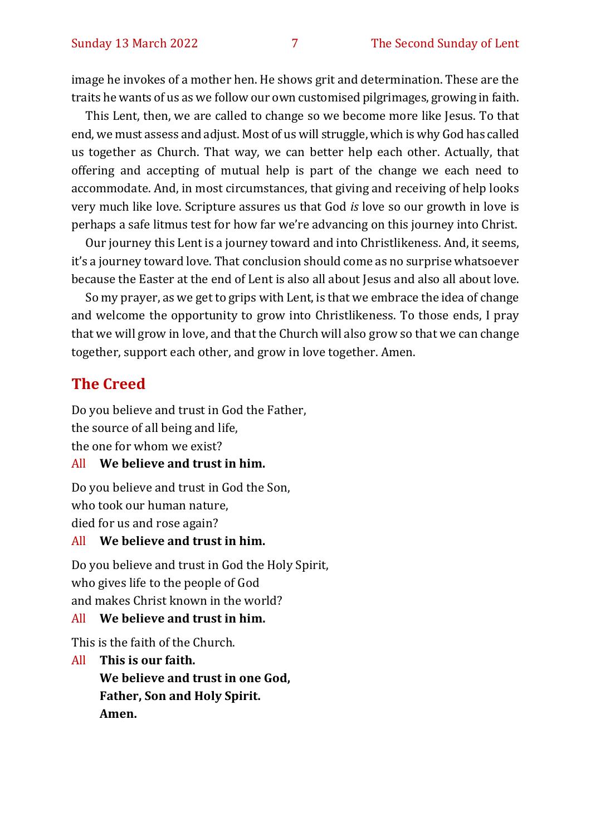image he invokes of a mother hen. He shows grit and determination. These are the traits he wants of us as we follow our own customised pilgrimages, growing in faith.

This Lent, then, we are called to change so we become more like Jesus. To that end, we must assess and adjust. Most of us will struggle, which is why God has called us together as Church. That way, we can better help each other. Actually, that offering and accepting of mutual help is part of the change we each need to accommodate. And, in most circumstances, that giving and receiving of help looks very much like love. Scripture assures us that God *is* love so our growth in love is perhaps a safe litmus test for how far we're advancing on this journey into Christ.

Our journey this Lent is a journey toward and into Christlikeness. And, it seems, it's a journey toward love. That conclusion should come as no surprise whatsoever because the Easter at the end of Lent is also all about Jesus and also all about love.

So my prayer, as we get to grips with Lent, is that we embrace the idea of change and welcome the opportunity to grow into Christlikeness. To those ends, I pray that we will grow in love, and that the Church will also grow so that we can change together, support each other, and grow in love together. Amen.

#### **The Creed**

Do you believe and trust in God the Father, the source of all being and life, the one for whom we exist?

#### All **We believe and trust in him.**

Do you believe and trust in God the Son, who took our human nature, died for us and rose again?

#### All **We believe and trust in him.**

Do you believe and trust in God the Holy Spirit, who gives life to the people of God and makes Christ known in the world?

#### All **We believe and trust in him.**

This is the faith of the Church.

All **This is our faith. We believe and trust in one God, Father, Son and Holy Spirit. Amen.**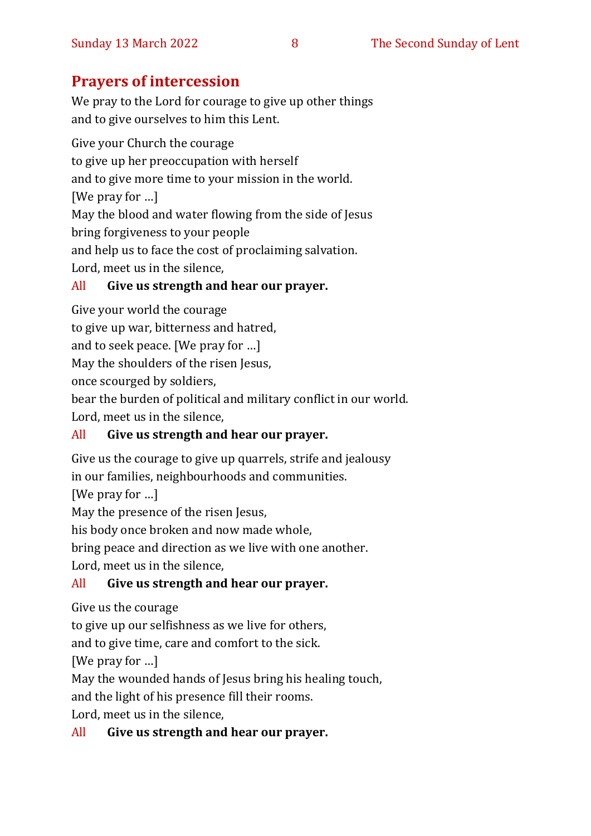#### **Prayers of intercession**

We pray to the Lord for courage to give up other things and to give ourselves to him this Lent.

Give your Church the courage

to give up her preoccupation with herself

and to give more time to your mission in the world.

[We pray for …]

May the blood and water flowing from the side of Jesus

bring forgiveness to your people

and help us to face the cost of proclaiming salvation.

Lord, meet us in the silence,

#### All **Give us strength and hear our prayer.**

Give your world the courage

to give up war, bitterness and hatred,

and to seek peace. [We pray for …]

May the shoulders of the risen Jesus,

once scourged by soldiers,

bear the burden of political and military conflict in our world.

Lord, meet us in the silence,

#### All **Give us strength and hear our prayer.**

Give us the courage to give up quarrels, strife and jealousy in our families, neighbourhoods and communities.

[We pray for …]

May the presence of the risen Jesus,

his body once broken and now made whole,

bring peace and direction as we live with one another.

Lord, meet us in the silence,

#### All **Give us strength and hear our prayer.**

Give us the courage

to give up our selfishness as we live for others,

and to give time, care and comfort to the sick.

[We pray for …]

May the wounded hands of Jesus bring his healing touch,

and the light of his presence fill their rooms.

Lord, meet us in the silence,

#### All **Give us strength and hear our prayer.**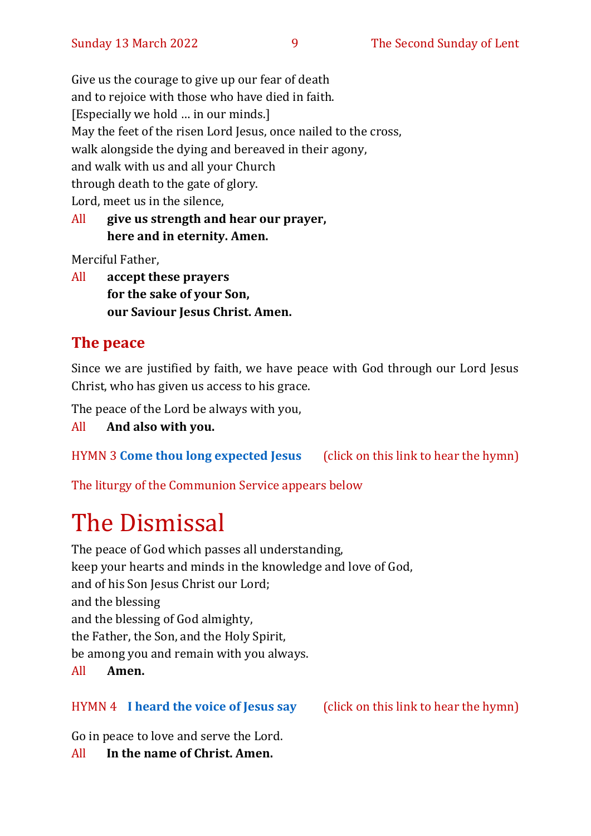Give us the courage to give up our fear of death and to rejoice with those who have died in faith. [Especially we hold … in our minds.] May the feet of the risen Lord Jesus, once nailed to the cross, walk alongside the dying and bereaved in their agony, and walk with us and all your Church through death to the gate of glory. Lord, meet us in the silence,

#### All **give us strength and hear our prayer, here and in eternity. Amen.**

Merciful Father,

All **accept these prayers for the sake of your Son, our Saviour Jesus Christ. Amen.**

#### **The peace**

Since we are justified by faith, we have peace with God through our Lord Jesus Christ, who has given us access to his grace.

The peace of the Lord be always with you,

All **And also with you.**

HYMN 3 **[Come thou long expected Jesus](https://www.youtube.com/watch?v=bhpXKA1LQjc)** (click on this link to hear the hymn)

The liturgy of the Communion Service appears below

# The Dismissal

| The peace of God which passes all understanding,             |
|--------------------------------------------------------------|
| keep your hearts and minds in the knowledge and love of God, |
| and of his Son Jesus Christ our Lord;                        |
| and the blessing                                             |
| and the blessing of God almighty,                            |
| the Father, the Son, and the Holy Spirit,                    |
| be among you and remain with you always.                     |
| All Amen.                                                    |

#### HYMN 4 **[I heard the voice of Jesus say](https://www.youtube.com/watch?v=XUVCpF8-VuE)** (click on this link to hear the hymn)

Go in peace to love and serve the Lord.

All **In the name of Christ. Amen.**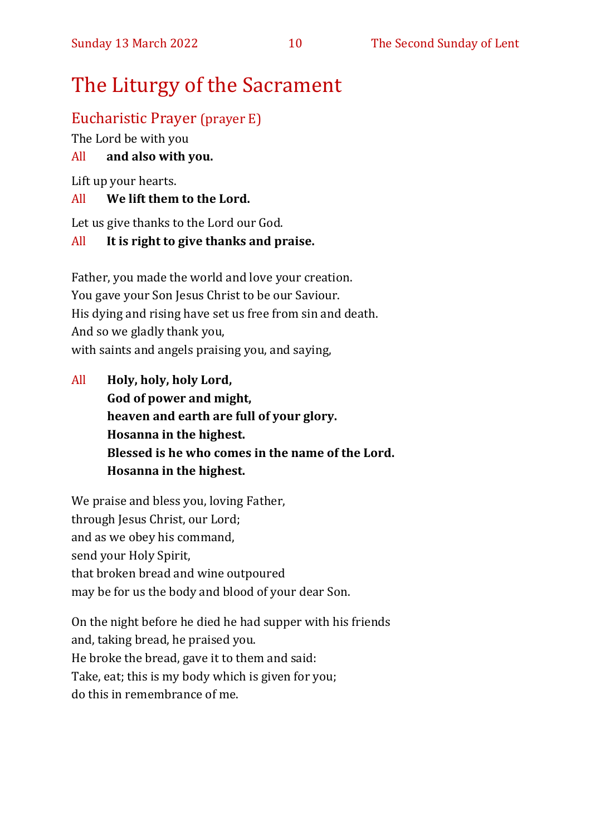## The Liturgy of the Sacrament

#### Eucharistic Prayer (prayer E)

The Lord be with you

#### All **and also with you.**

Lift up your hearts.

#### All **We lift them to the Lord.**

Let us give thanks to the Lord our God.

#### All **It is right to give thanks and praise.**

Father, you made the world and love your creation. You gave your Son Jesus Christ to be our Saviour. His dying and rising have set us free from sin and death. And so we gladly thank you, with saints and angels praising you, and saying,

All **Holy, holy, holy Lord, God of power and might, heaven and earth are full of your glory. Hosanna in the highest. Blessed is he who comes in the name of the Lord. Hosanna in the highest.**

We praise and bless you, loving Father, through Jesus Christ, our Lord; and as we obey his command, send your Holy Spirit, that broken bread and wine outpoured may be for us the body and blood of your dear Son.

On the night before he died he had supper with his friends and, taking bread, he praised you. He broke the bread, gave it to them and said: Take, eat; this is my body which is given for you; do this in remembrance of me.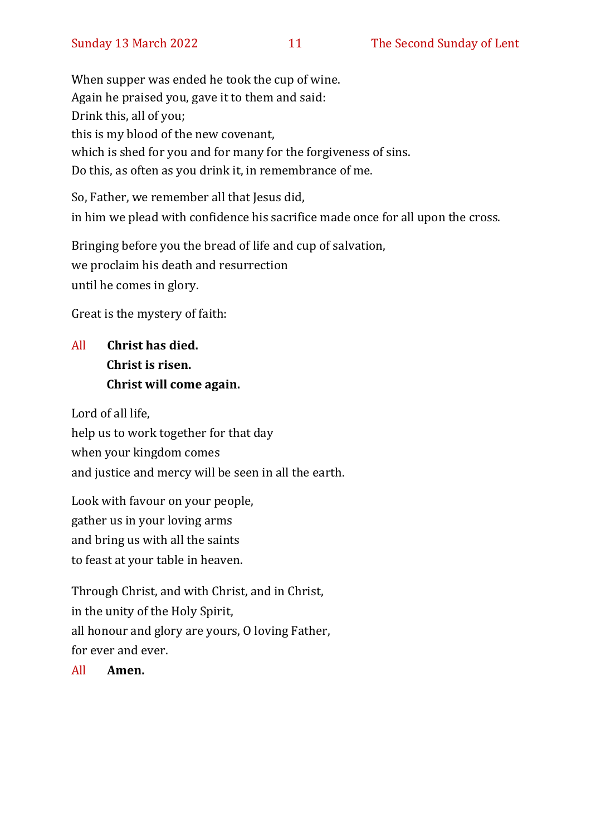When supper was ended he took the cup of wine. Again he praised you, gave it to them and said: Drink this, all of you; this is my blood of the new covenant, which is shed for you and for many for the forgiveness of sins. Do this, as often as you drink it, in remembrance of me.

So, Father, we remember all that Jesus did, in him we plead with confidence his sacrifice made once for all upon the cross.

Bringing before you the bread of life and cup of salvation, we proclaim his death and resurrection until he comes in glory.

Great is the mystery of faith:

#### All **Christ has died. Christ is risen. Christ will come again.**

Lord of all life, help us to work together for that day when your kingdom comes and justice and mercy will be seen in all the earth.

Look with favour on your people, gather us in your loving arms and bring us with all the saints to feast at your table in heaven.

Through Christ, and with Christ, and in Christ, in the unity of the Holy Spirit, all honour and glory are yours, O loving Father, for ever and ever.

All **Amen.**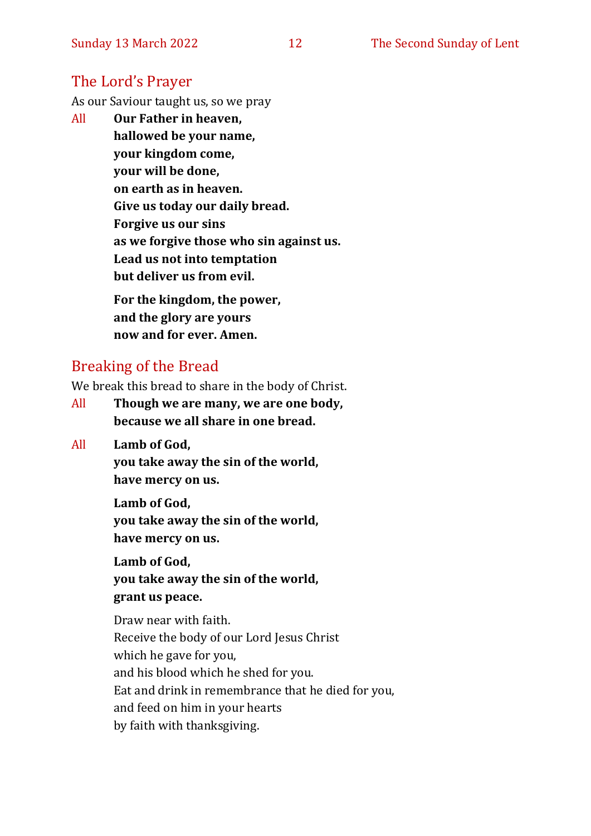#### The Lord's Prayer

As our Saviour taught us, so we pray

All **Our Father in heaven, hallowed be your name, your kingdom come, your will be done, on earth as in heaven. Give us today our daily bread. Forgive us our sins as we forgive those who sin against us. Lead us not into temptation but deliver us from evil. For the kingdom, the power,** 

**and the glory are yours now and for ever. Amen.**

#### Breaking of the Bread

We break this bread to share in the body of Christ.

- All **Though we are many, we are one body, because we all share in one bread.**
- All **Lamb of God,**

**you take away the sin of the world, have mercy on us.**

**Lamb of God,** 

**you take away the sin of the world, have mercy on us.**

**Lamb of God,** 

**you take away the sin of the world, grant us peace.**

Draw near with faith. Receive the body of our Lord Jesus Christ which he gave for you, and his blood which he shed for you. Eat and drink in remembrance that he died for you, and feed on him in your hearts by faith with thanksgiving.